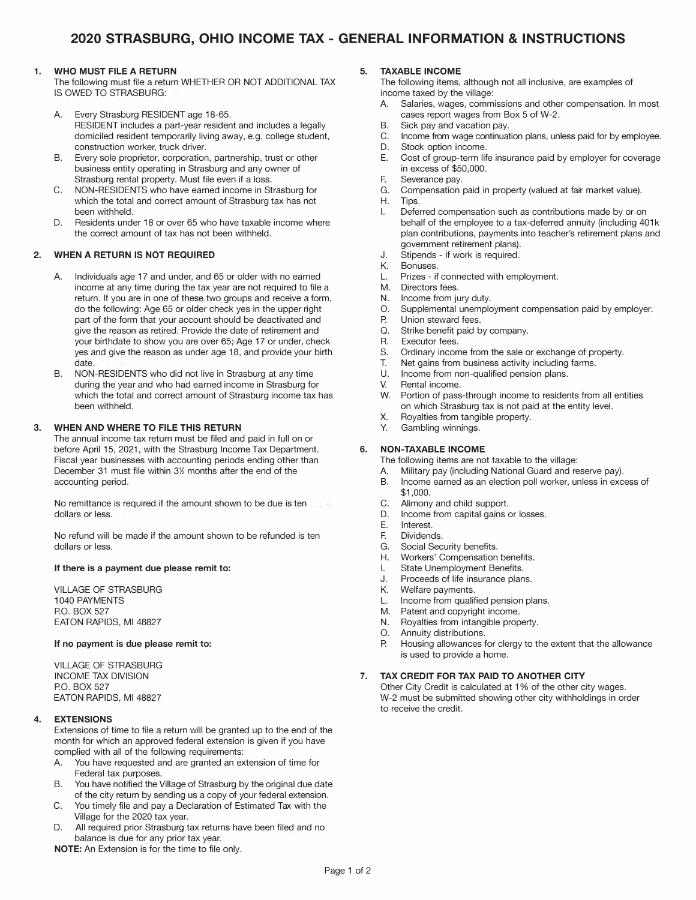#### **1. WHO MUST FILE A RETURN**

The following must file a return WHETHER OR NOT ADDITIONAL TAX IS OWED TO STRASBURG:

- A. Every Strasburg RESIDENT age 18-65. RESIDENT includes a part-year resident and includes a legally domiciled resident temporarily living away, e.g. college student, construction worker, truck driver.
- B. Every sole proprietor, corporation, partnership, trust or other business entity operating in Strasburg and any owner of Strasburg rental property. Must file even if a loss.
- C. NON-RESIDENTS who have earned income in Strasburg for which the total and correct amount of Strasburg tax has not been withheld.
- D. Residents under 18 or over 65 who have taxable income where the correct amount of tax has not been withheld.

#### **2. WHEN A RETURN IS NOT REQUIRED**

- A. Individuals age 17 and under, and 65 or older with no earned income at any time during the tax year are not required to file a return. If you are in one of these two groups and receive a form, do the following: Age 65 or older check yes in the upper right part of the form that your account should be deactivated and give the reason as retired. Provide the date of retirement and your birthdate to show you are over 65; Age 17 or under, check yes and give the reason as under age 18, and provide your birth date.
- B. NON-RESIDENTS who did not live in Strasburg at any time during the year and who had earned income in Strasburg for which the total and correct amount of Strasburg income tax has been withheld.

#### **3. WHEN AND WHERE TO FILE THIS RETURN**

The annual income tax return must be filed and paid in full on or before April 15, 2021, with the Strasburg Income Tax Department. Fiscal year businesses with accounting periods ending other than December 31 must file within 3½ months after the end of the accounting period.

No remittance is required if the amount shown to be due is ten dollars or less.

No refund will be made if the amount shown to be refunded is ten dollars or less.

#### **If there is a payment due please remit to:**

VILLAGE OF STRASBURG 1040 PAYMENTS P.O. BOX 527 EATON RAPIDS, Ml 48827

#### **If no payment is due please remit to:**

VILLAGE OF STRASBURG INCOME TAX DIVISION P.O. BOX 527 EATON RAPIDS, Ml 48827

#### **4. EXTENSIONS**

Extensions of time to file a return will be granted up to the end of the month for which an approved federal extension is given if you have complied with all of the following requirements:

- A. You have requested and are granted an extension of time for Federal tax purposes.
- B. You have notified the Village of Strasburg by the original due date of the city return by sending us a copy of your federal extension.
- C. You timely file and pay a Declaration of Estimated Tax with the Village for the 2020 tax year.
- D. All required prior Strasburg tax returns have been filed and no balance is due for any prior tax year.

**NOTE:** An Extension is for the time to file only.

#### **5. TAXABLE INCOME**

The following items, although not all inclusive, are examples of income taxed by the village:

- A. Salaries, wages, commissions and other compensation. In most cases report wages from Box 5 of W-2.
- B. Sick pay and vacation pay.
- C. Income from wage continuation plans, unless paid for by employee.
- D. Stock option income.
- E. Cost of group-term life insurance paid by employer for coverage in excess of \$50,000.
- F. Severance pay.
- G. Compensation paid in property (valued at fair market value).
- H. Tips.
- I. Deferred compensation such as contributions made by or on behalf of the employee to a tax-deferred annuity (including 401k plan contributions, payments into teacher's retirement plans and government retirement plans).
- J. Stipends - if work is required.
- K.<br>I Bonuses.
- Prizes if connected with employment.
- M. Directors fees.
- N. Income from jury duty.
- 0. Supplemental unemployment compensation paid by employer.<br>P Union steward fees.
- P. Union steward fees.<br>O. Strike benefit paid b
- Q. Strike benefit paid by company.<br>R Executor fees
- R. Executor fees.
- S. Ordinary income from the sale or exchange of property.
- T. Net gains from business activity including farms.
- Income from non-qualified pension plans.
- V. Rental income.
- w. Portion of pass-through income to residents from all entities on which Strasburg tax is not paid at the entity level.
- X. Royalties from tangible property.
- Y. Gambling winnings.

#### **6. NON-TAXABLE INCOME**

- The following items are not taxable to the village:
- A. Military pay (including National Guard and reserve pay).
- B. Income earned as an election poll worker, unless in excess of \$1,000.
- C. Alimony and child support.
- D. Income from capital gains or losses.
- E. Interest.
- Dividends.
- G. Social Security benefits.
- H. Workers' Compensation benefits.
- I. State Unemployment Benefits.
- J. Proceeds of life insurance plans.<br>K. Welfare payments.
- K. Welfare payments.<br>Income from qualif
- L. Income from qualified pension plans.<br>M. Patent and copyright income.
- Patent and copyright income.
- N. Royalties from intangible property.
- O. Annuity distributions.<br>P. Housing allowances f
- Housing allowances for clergy to the extent that the allowance is used to provide a home.

#### **7. TAX CREDIT FOR TAX PAID TO ANOTHER CITY**

Other City Credit is calculated at 1 % of the other city wages. W-2 must be submitted showing other city withholdings in order to receive the credit.